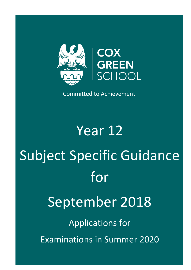

Committed to Achievement

Year 12 Subject Specific Guidance for September 2018 Applications for Examinations in Summer 2020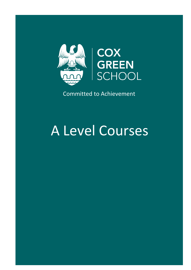

Committed to Achievement

# A Level Courses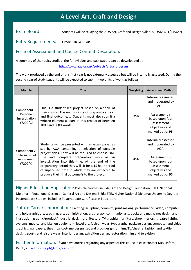#### **Art, Crait and A A Level Art, Craft and Design**

Exam Board: Students will be studying the AQA Art, Craft and Design syllabus (QAN: 601/4456/7)

Entry Requirements: Grade 6 in GCSE Art.

#### Form of Assessment and Course Content Description:

A summary of the topics studied, the full syllabus and past papers can be downloaded at:

<http://www.aqa.org.uk/subjects/art-and-design>

The work produced by the end of this first year is not externally assessed but will be internally assessed. During the second year of study students will be expected to submit two units of work as follows:

| <b>Module</b>                                                   | <b>Title</b>                                                                                                                                                                                                                                                                                                                                                                                                            | <b>Weighting</b> | <b>Assessment Method</b>                                                                                                                 |
|-----------------------------------------------------------------|-------------------------------------------------------------------------------------------------------------------------------------------------------------------------------------------------------------------------------------------------------------------------------------------------------------------------------------------------------------------------------------------------------------------------|------------------|------------------------------------------------------------------------------------------------------------------------------------------|
| Component 1:<br>Personal<br>Investigation<br>(7202/C)           | This is a student led project based on a topic of<br>their choice. The unit consists of preparatory work<br>and final outcome/s. Students must also submit a<br>written element as part of this project of between<br>1000 and 3000 words.                                                                                                                                                                              | 60%              | Internally assessed<br>and moderated by<br>AQA.<br>Assessment is<br>based upon four<br>assessment<br>objectives and<br>marked out of 96. |
| Component 2:<br><b>Externally Set</b><br>Assignment<br>(7202/X) | Students will be presented with an exam paper as<br>set by AQA containing a selection of possible<br>project titles. They will be required to choose ONE<br>title and complete preparatory work as an<br>investigation into this title. At the end of the<br>preparatory period they will sit for a 15 hour period<br>of supervised time in which they are expected to<br>produce their final outcome/s to the project. | 40%              | Internally assessed<br>and moderated by<br>AQA.<br>Assessment is<br>based upon four<br>assessment<br>objectives and<br>marked out of 96. |

Higher Education Application: Possible courses include: Art and Design Foundation; BTEC National Diploma in Vocational Design or General Art and Design; B.Ed.; BTEC Higher National Diploma; University Degree; Postgraduate Studies, including Postgraduate Certificate in Education.

Future Careers Information: Painting, sculpture, ceramics, print-making, performance, video, computer and holographic art, teaching, arts administration, art therapy, community arts, books and magazines design and illustration, graphic/product/industrial design, architecture, TV graphics, furniture, shop interiors, theatre lighting systems, medical and kitchen equipment, jewellery, fashion wear, typography, package design, computer and video graphics, wallpapers, theatrical costume design, set and prop design for films/TV/theatre, fashion and textile design, sports and leisure wear, interior design, exhibition design, restoration, film and television.

Further Information: If you have queries regarding any aspect of this course please contact Mrs LinfordRelph, at: [e.linfordrelph@coxgreen.com](mailto:e.linfordrelph@coxgreen.com)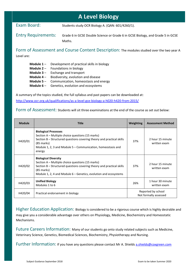# **A Level Biology**

Exam Board: Students study OCR Biology A. (QAN: 601/4260/1).

Entry Requirements: Grade 6 in GCSE Double Science or Grade 6 in GCSE Biology, and Grade 5 in GCSE Maths.

Form of Assessment and Course Content Description: The modules studied over the two year A Level are:

- **Module 1** Development of practical skills in biology
- **Module 2** Foundations in biology
- **Module 3** Exchange and transport
- **Module 4** Biodiversity, evolution and disease
- **Module 5** Communication, homeostasis and energy
- **Module 6** Genetics, evolution and ecosystems

A summary of the topics studied, the full syllabus and past papers can be downloaded at: <http://www.ocr.org.uk/qualifications/as-a-level-gce-biology-a-h020-h420-from-2015/>

#### Form of Assessment: Students will sit three examinations at the end of the course as set out below:

| <b>Module</b> | Title                                                                                                                                                                                                                                              | Weighting                                   | <b>Assessment Method</b>         |
|---------------|----------------------------------------------------------------------------------------------------------------------------------------------------------------------------------------------------------------------------------------------------|---------------------------------------------|----------------------------------|
| H420/01       | <b>Biological Processes</b><br>Section A – Multiple choice questions (15 marks)<br>Section B – Structured questions covering theory and practical skills<br>$(85$ marks)<br>Module 1, 2, 3 and Module 5 - Communication, homeostasis and<br>energy | 37%                                         | 2 hour 15 minute<br>written exam |
| H420/02       | <b>Biological Diversity</b><br>Section A – Multiple choice questions (15 marks)<br>Section $B -$ Structured questions covering theory and practical skills<br>$(85$ marks)<br>Module 1, 2, 4 and Module $6$ – Genetics, evolution and ecosystems   | 37%                                         | 2 hour 15 minute<br>written exam |
| H420/03       | <b>Unified Biology</b><br>Modules 1 to 6                                                                                                                                                                                                           | 26%                                         | 1 hour 30 minute<br>written exam |
| H420/04       | Practical endorsement in biology                                                                                                                                                                                                                   | Reported by school<br>Not formally assessed |                                  |

Higher Education Application: Biology is considered to be a rigorous course which is highly desirable and may give you a considerable advantage over others on Physiology, Medicine, Biochemistry and Homeostatic Mechanisms.

Future Careers Information: Many of our students go onto study related subjects such as Medicine, Veterinary Science, Genetics, Biomedical Sciences, Biochemistry, Physiotherapy and Nursing.

Further Information: If you have any questions please contact Mr A. Shields [a.shields@coxgreen.com](mailto:a.shields@coxgreen.com)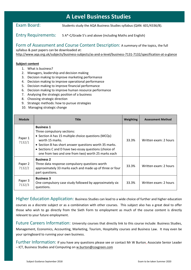# **A Level Business Studies**

Exam Board: Students study the AQA Business Studies syllabus (QAN: 601/4336/8).

Entry Requirements: 5 A\*-C/Grade 5's and above (including Maths and English)

Form of Assessment and Course Content Description: A summary of the topics, the full

syllabus & past papers can be downloaded at:

<http://www.aqa.org.uk/subjects/business-subjects/as-and-a-level/business-7131-7132/specification-at-a-glance>

#### **Subject content**

- 1. What is business?
- 2. Managers, leadership and decision making
- 3. Decision making to improve marketing performance
- 4. Decision making to improve operational performance
- 5. Decision making to improve financial performance
- 6. Decision making to improve human resource performance
- 7. Analysing the strategic position of a business
- 8. Choosing strategic direction
- 9. Strategic methods: how to pursue strategies
- 10. Managing strategic change

| <b>Module</b>     | <b>Title</b>                                                                                                                                                                                                                                                                                        | Weighting | <b>Assessment Method</b> |
|-------------------|-----------------------------------------------------------------------------------------------------------------------------------------------------------------------------------------------------------------------------------------------------------------------------------------------------|-----------|--------------------------|
| Paper 1<br>7132/1 | <b>Business 1</b><br>Three compulsory sections:<br>• Section A has 15 multiple choice questions (MCQs)<br>worth 15 marks.<br>• Section B has short answer questions worth 35 marks.<br>• Sections C and D have two essay questions (choice of<br>one from two and one from two) worth 25 marks each | 33.3%     | Written exam: 2 hours    |
| Paper 2<br>7132/2 | <b>Business 2</b><br>Three data response compulsory questions worth<br>approximately 33 marks each and made up of three or four<br>part questions.                                                                                                                                                  | 33.3%     | Written exam: 2 hours    |
| Paper 3<br>7132/3 | <b>Business 3</b><br>One compulsory case study followed by approximately six<br>questions.                                                                                                                                                                                                          | 33.3%     | Written exam: 2 hours    |

Higher Education Application: Business Studies can lead to a wide choice of further and higher education courses as a discrete subject or as a combination with other courses. This subject also has a great deal to offer those who wish to go directly from the Sixth Form to employment as much of the course content is directly relevant to your future employment.

Future Careers Information: University courses that directly link to this course include: Business Studies, Management, Economics, Accounting, Marketing, Tourism, Hospitality courses and Business Law. It may even be your springboard to running your own business.

Further Information: If you have any questions please see or contact Mr W Burton, Associate Senior Leader – ICT, Business Studies and Computing on [w.burton@coxgreen.com](mailto:w.burton@coxgreen.com)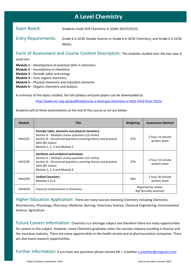# **A Level Chemistry**

Exam Board: Students study OCR Chemistry A. (QAN: 601/5255/2)

Entry Requirements: Grade 6 in GCSE Double Science or Grade 6 in GCSE Chemistry, and Grade 6 in GCSE Maths.

Form of Assessment and Course Content Description: The modules studied over the two year A

Level are:

**Module 1** – Development of practical skills in chemistry

- **Module 2** Foundations in chemistry
- **Module 3** Periodic table and energy
- **Module 4** Core organic chemistry
- **Module 5** Physical chemistry and transition elements
- **Module 6** Organic chemistry and analysis

A summary of the topics studied, the full syllabus and past papers can be downloaded at:

<http://www.ocr.org.uk/qualifications/as-a-level-gce-chemistry-a-h032-h432-from-2015/>

Students will sit three examinations at the end of the course as set out below:

| <b>Module</b> | <b>Title</b>                                                                                                                                                                                                              | Weighting                                   | <b>Assessment Method</b>         |
|---------------|---------------------------------------------------------------------------------------------------------------------------------------------------------------------------------------------------------------------------|---------------------------------------------|----------------------------------|
| H432/01       | Periodic table, elements and physical chemistry<br>Section A – Multiple choice questions (15 marks)<br>Section B – Structured questions covering theory and practical<br>skills (85 marks)<br>Module 1, 2, 3 and Module 5 | 37%                                         | 2 hour 15 minute<br>written exam |
| H432/02       | Synthesis and analytical techniques<br>Section A – Multiple choice questions (15 marks)<br>Section B – Structured questions covering theory and practical<br>skills (85 marks)<br>Module 1, 2, 4 and Module 6             | 37%                                         | 2 hour 15 minute<br>written exam |
| H432/03       | <b>Unified Chemistry</b><br>Modules 1 to 6                                                                                                                                                                                | 26%                                         | 1 hour 30 minute<br>written exam |
| H434/04       | Practical endorsement in chemistry                                                                                                                                                                                        | Reported by school<br>Not formally assessed |                                  |

Higher Education Application: There are many courses involving Chemistry including Chemistry, Biochemistry, Physiology, Pharmacy, Medicine, Nursing, Veterinary Science, Chemical Engineering, Environmental Science, Agriculture.

Future Careers Information: Chemistry is a shortage subject and therefore there are many opportunities for careers in this subject. However, many Chemistry graduates enter the services industry excelling in finance and the insurance industry. There are many opportunities in the health service and at pharmaceutical companies. There are also many research opportunities.

Further Information: If you have any questions please contact Mr J. Crowther *[j.crowther@coxgreen.com](mailto:j.crowther@coxgreen.com)*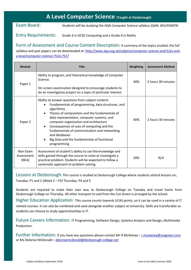# **A Level Computer Science (Taught at Desborough)**

Exam Board: Students will be studying the AQA Computer Science syllabus (QAN: 601/4569/9)

Entry Requirements: Grade 6 in GCSE Computing and a Grade 6 in Maths

Form of Assessment and Course Content Description: A summary of the topics studied, the full syllabus and past papers can be downloaded at: [http://www.aqa.org.uk/subjects/computer-science-and-it/as-and](http://www.aqa.org.uk/subjects/computer-science-and-it/as-and-a-level/computer-science-7516-7517)[a-level/computer-science-7516-7517](http://www.aqa.org.uk/subjects/computer-science-and-it/as-and-a-level/computer-science-7516-7517)

| <b>Module</b>                   | <b>Title</b>                                                                                                                                                                                                                                                                                                                                                                                                                               | <b>Weighting</b> | <b>Assessment Method</b> |
|---------------------------------|--------------------------------------------------------------------------------------------------------------------------------------------------------------------------------------------------------------------------------------------------------------------------------------------------------------------------------------------------------------------------------------------------------------------------------------------|------------------|--------------------------|
| Paper 1                         | Ability to program, and theoretical knowledge of Computer<br>Science.<br>On screen examination designed to encourage students to<br>do an investigative project on a topic of particular interest.                                                                                                                                                                                                                                         | 40%              | 2 hours 30 minutes       |
| Paper 2                         | Ability to answer questions from subject content:<br>Fundamentals of programming, data structures, and<br>algorithms.<br>Theory of computation and the fundamentals of<br>data representation, computer systems, and<br>computer organisation and architecture<br>Consequences of uses of computing and the<br>fundamentals of communication and networking<br>and databases<br>Big Data and the fundamentals of functional<br>programming | 40%              | 2 hours 30 minutes       |
| Non Exam<br>Assessment<br>(NEA) | Assessment of student's ability to use the knowledge and<br>skills gained through the course to solve or investigate a<br>practical problem. Students will be expected to follow a<br>systematic approach to problem solving.                                                                                                                                                                                                              | 20%              | N/A                      |

Lessons at Desborough: This course is studied at Desborough College where students attend lessons on; Tuesday: P1 and 2 (Week 2 – P3) Thursday: P4 and 5

Students are required to make their own way to Desborough College on Tuesday and travel home from Desborough College on Thursday. All other transport to and from the Cox Green is arranged by the school.

Higher Education Application: This course counts towards UCAS points, so it can be used in a variety of IT related courses. It can also be combined and used alongside another subject at University. Skills are transferable so students can choose to study apprenticeships in IT.

Future Careers Information: IT Programming, Software Design, Systems Analysis and Design, Multimedia Production.

Further Information: If you have any questions please contact Mr R McAlaney - [r.mcalaney@coxgreen.com](mailto:r.mcalaney@coxgreen.com) or Ms Delorise McDonald – [delorisemcdonald@desborough-college.net](mailto:delorisemcdonald@desborough-college.net)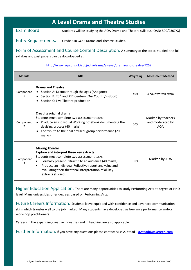# **A Level Drama and Theatre Studies**

Exam Board: Students will be studying the AQA Drama and Theatre syllabus (QAN: 500/2307/X)

Entry Requirements: Grade 6 in GCSE Drama and Theatre Studies.

Form of Assessment and Course Content Description: A summary of the topics studied, the full syllabus and past papers can be downloaded at:

<http://www.aqa.org.uk/subjects/drama/a-level/drama-and-theatre-7262>

| <b>Module</b>  | <b>Title</b>                                                                                                                                                                                                                                                                                                                                      | Weighting | <b>Assessment Method</b>                      |
|----------------|---------------------------------------------------------------------------------------------------------------------------------------------------------------------------------------------------------------------------------------------------------------------------------------------------------------------------------------------------|-----------|-----------------------------------------------|
| Component<br>1 | <b>Drama and Theatre</b><br>Section A: Drama through the ages (Antigone)<br>Section B: 20 <sup>th</sup> and 21 <sup>st</sup> Century (Our Country's Good)<br>$\bullet$<br>Section C: Live Theatre production                                                                                                                                      | 40%       | 3 hour written exam                           |
| Component<br>2 | <b>Creating original drama</b><br>Students must complete two assessment tasks:<br>Produce an individual Working notebook documenting the<br>devising process (40 marks)<br>Contribute to the final devised, group performance (20<br>$\bullet$<br>marks)                                                                                          | 30%       | Marked by teachers<br>and moderated by<br>AQA |
| Component      | <b>Making Theatre</b><br><b>Explore and interpret three key extracts</b><br>Students must complete two assessment tasks:<br>Formally present Extract 3 to an audience (40 marks)<br>$\bullet$<br>Produce an individual Reflective report analysing and<br>$\bullet$<br>evaluating their theatrical interpretation of all key<br>extracts studied. | 30%       | Marked by AQA                                 |

Higher Education Application: There are many opportunities to study Performing Arts at degree or HND level. Many universities offer degrees based on Performing Arts.

Future Careers Information: Students leave equipped with confidence and advanced communication skills which transfer well to the job market. Many students have developed as freelance performance and/or workshop practitioners.

Careers in the expanding creative industries and in teaching are also applicable.

Further Information: If you have any questions please contact Miss A. Stead – **[a.stead@coxgreen.com](mailto:a.stead@coxgreen.com)**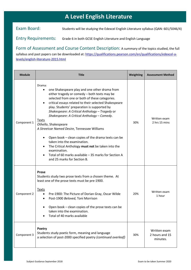# **A Level English Literature**

Exam Board: Students will be studying the Edexcel English Literature syllabus (QAN: 601/5046/4)

Entry Requirements: Grade 6 in both GCSE English Literature and English Language

Form of Assessment and Course Content Description: A summary of the topics studied, the full syllabus and past papers can be downloaded at: [https://qualifications.pearson.com/en/qualifications/edexcel-a](https://qualifications.pearson.com/en/qualifications/edexcel-a-levels/english-literature-2015.html)[levels/english-literature-2015.html](https://qualifications.pearson.com/en/qualifications/edexcel-a-levels/english-literature-2015.html)

| <b>Module</b> | Title                                                                                                                                                                                                                                                                                                                                                                                                                                                                                                                                                                                                                                                                                                                                 | Weighting | <b>Assessment Method</b>                   |
|---------------|---------------------------------------------------------------------------------------------------------------------------------------------------------------------------------------------------------------------------------------------------------------------------------------------------------------------------------------------------------------------------------------------------------------------------------------------------------------------------------------------------------------------------------------------------------------------------------------------------------------------------------------------------------------------------------------------------------------------------------------|-----------|--------------------------------------------|
| Component 1   | Drama:<br>one Shakespeare play and one other drama from<br>either tragedy or comedy - both texts may be<br>selected from one or both of these categories.<br>critical essays related to their selected Shakespeare<br>$\bullet$<br>play. Students' preparation is supported by<br>Shakespeare: A Critical Anthology - Tragedy or<br>Shakespeare: A Critical Anthology - Comedy.<br><u>Texts</u><br>Othello, Shakespeare<br>A Streetcar Named Desire, Tennessee Williams<br>Open book – clean copies of the drama texts can be<br>taken into the examination.<br>The Critical Anthology must not be taken into the<br>$\bullet$<br>examination.<br>Total of 60 marks available - 35 marks for Section A<br>and 25 marks for Section B. | 30%       | Written exam<br>2 hrs 15 mins              |
| Component 2   | Prose<br>Students study two prose texts from a chosen theme. At<br>least one of the prose texts must be pre-1900.<br><b>Texts</b><br>Pre-1900: The Picture of Dorian Gray, Oscar Wilde<br>Post-1900 Beloved, Toni Morrison<br>٠<br>Open book - clean copies of the prose texts can be<br>taken into the examination.<br>Total of 40 marks available                                                                                                                                                                                                                                                                                                                                                                                   | 20%       | Written exam<br>1 hour                     |
| Component 3   | Poetry<br>Students study poetic form, meaning and language<br>a selection of post-2000 specified poetry (continued overleaf)                                                                                                                                                                                                                                                                                                                                                                                                                                                                                                                                                                                                          | 30%       | Written exam<br>2 hours and 15<br>minutes. |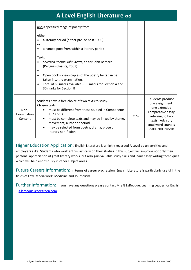# **A Level English Literature ctd**

|                                | and a specified range of poetry from:<br>either<br>a literary period (either pre- or post-1900)<br>or<br>a named poet from within a literary period<br>Texts<br>Selected Poems: John Keats, editor John Barnard<br>(Penguin Classics, 2007)<br>Open book - clean copies of the poetry texts can be<br>taken into the examination.<br>Total of 60 marks available – 30 marks for Section A and<br>30 marks for Section B |     |                                                                                                                                                           |
|--------------------------------|-------------------------------------------------------------------------------------------------------------------------------------------------------------------------------------------------------------------------------------------------------------------------------------------------------------------------------------------------------------------------------------------------------------------------|-----|-----------------------------------------------------------------------------------------------------------------------------------------------------------|
| Non-<br>Examination<br>Content | Students have a free choice of two texts to study.<br>Chosen texts:<br>must be different from those studied in Components<br>$\bullet$<br>1, 2 and 3<br>must be complete texts and may be linked by theme,<br>$\bullet$<br>movement, author or period<br>may be selected from poetry, drama, prose or<br>$\bullet$<br>literary non-fiction.                                                                             | 20% | Students produce<br>one assignment:<br>one extended<br>comparative essay<br>referring to two<br>texts. Advisory<br>total word count is<br>2500-3000 words |

Higher Education Application: English Literature is a highly regarded A Level by universities and

employers alike. Students who work enthusiastically on their studies in this subject will improve not only their personal appreciation of great literary works, but also gain valuable study skills and learn essay writing techniques which will help enormously in other subject areas.

Future Careers Information: In terms of career progression, English Literature is particularly useful in the fields of Law, Media work, Medicine and Journalism.

Further Information:If you have any questions please contact Mrs G LaRocque, Learning Leader for English – [g.larocque@coxgreen.com](mailto:g.larocque@coxgreen.com)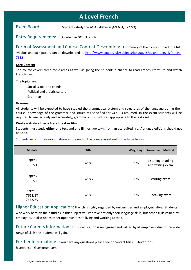# **A Level French**

Exam Board: Students study the AQA syllabus (QAN:601/8727/X)

Entry Requirements: Grade 6 in GCSE French.

Form of Assessment and Course Content Description: A summary of the topics studied, the full syllabus and past papers can be downloaded at: [http://www.aqa.org.uk/subjects/languages/as-and-a-level/french-](http://www.aqa.org.uk/subjects/languages/as-and-a-level/french-7652)[7652](http://www.aqa.org.uk/subjects/languages/as-and-a-level/french-7652)

#### **Core Content**

The course covers three topic areas as well as giving the students a chance to read French literature and watch French film.

The topics are:

- Social issues and trends
- Political and artistic culture
- Grammar

#### **Grammar**

All students will be expected to have studied the grammatical system and structures of the language during their course. Knowledge of the grammar and structures specified for GCSE is assumed. In the exam students will be required to use, actively and accurately, grammar and structures appropriate to the tasks set.

#### **Works – study either a French text or film**

Students must study **either** one text and one film **or** two texts from an accredited list. Abridged editions should not be used.

#### Students will sit three examinations at the end of the course as set out in the table below:

| <b>Module</b>                 | <b>Title</b> | Weighting | <b>Assessment Method</b>               |
|-------------------------------|--------------|-----------|----------------------------------------|
| Paper 1<br>7652/1             | Paper 1      | 50%       | Listening, reading<br>and writing exam |
| Paper 2<br>7652/2             | Paper 2      | 20%       | Writing exam                           |
| Paper 3<br>7652/3T<br>7652/3V | Paper 3      | 30%       | Speaking exam                          |

Higher Education Application: French is highly regarded by universities and employers alike. Students who work hard on their studies in this subject will improve not only their language skills, but other skills valued by employers. It also opens other opportunities to living and working abroad.

Future Careers Information: This qualification is recognised and valued by all employers due to the wide range of skills the students will gain.

Further Information: If you have any questions please see or contact Miss H Stevenson –

h.stevenson@coxgreen.com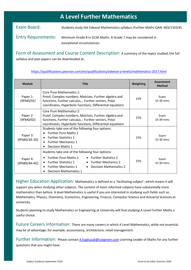|                            | <b>A Level Further Mathematics</b>                                                          |
|----------------------------|---------------------------------------------------------------------------------------------|
| Exam Board:                | Students study the Edexcel Mathematics syllabus (Further Maths QAN: 603/1333/X)             |
| <b>Entry Requirements:</b> | Minimum Grade 8 in GCSE Maths. A Grade 7 may be considered in<br>exceptional circumstances. |

Form of Assessment and Course Content Description: A summary of the topics studied, the full syllabus and past papers can be downloaded at:

| <b>Module</b>            | <b>Title</b>                                                                                                                                                                                                                                                                                      | <b>Weighting</b> | <b>Assessment</b><br><b>Method</b> |
|--------------------------|---------------------------------------------------------------------------------------------------------------------------------------------------------------------------------------------------------------------------------------------------------------------------------------------------|------------------|------------------------------------|
| Paper 1:<br>(9FM0/01)    | Core Pure Mathematics 1:<br>Proof, Complex numbers, Matrices, Further algebra and<br>functions, Further calculus, , Further vectors, Polar<br>coordinates, Hyperbolic functions, Differential equations                                                                                           |                  | Exam<br>1h 30 mins                 |
| Paper 2:<br>(9FM0/02)    | Core Pure Mathematics 2:<br>Proof, Complex numbers, Matrices, Further algebra and<br>functions, Further calculus, , Further vectors, Polar<br>coordinates, Hyperbolic functions, Differential equations                                                                                           | 25%              | Exam<br>$1h$ 30 mins               |
| Paper 3:<br>(9FM0/3A-3D) | Students take one of the following four options:<br><b>Further Pure Maths 1</b><br><b>Further Statistics 1</b><br>$\bullet$<br><b>Further Mechanics 1</b><br>٠<br><b>Decision Maths 1</b>                                                                                                         | 25%              | Exam<br>$1h$ 30 mins               |
| Paper 4:<br>(9FM0/4A-4G) | Students take one of the following four options:<br><b>Further Pure Maths 2</b><br>• Further Statistics 2<br>$\bullet$<br><b>Further Statistics 1</b><br>• Further Mechanics 2<br>$\bullet$<br><b>Further Mechanics 1</b><br>Decision Mathematics 2<br>$\bullet$<br><b>Decision Mathematics 1</b> | 25%              | Exam<br>$1h$ 30 mins               |

#### <https://qualifications.pearson.com/en/qualifications/edexcel-a-levels/mathematics-2017.html>

Higher Education Application: Mathematics is defined as a 'facilitating subject', which means it will support you when studying other subjects. The content of most reformed subjects have substantially more mathematics than before. A level Mathematics is useful if you are interested in studying such fields such as Mathematics, Physics, Chemistry, Economics, Engineering, Finance, Computer Science and Actuarial Sciences.at university.

Students planning to study Mathematics or Engineering at University will find studying A Level Further Maths a useful choice.

Future Careers Information: There are many careers in which A Level Mathematics, while not essential, may be of advantage, for example, accountancy, architecture, retail management.

Further Information: Please contact [A.haghazali@coxgreen.com](mailto:A.haghazali@coxgreen.com) Learning Leader of Maths for any further questions that you might have.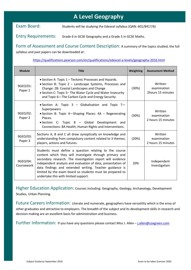# **A Level Geography**

Exam Board: Students will be studying the Edexcel syllabus (QAN: 601/8417/6)

Entry Requirements: Grade 6 in GCSE Geography and a Grade 5 in GCSE Maths.

Form of Assessment and Course Content Description: A summary of the topics studied, the full syllabus and past papers can be downloaded at:

<https://qualifications.pearson.com/en/qualifications/edexcel-a-levels/geography-2016.html>

| <b>Module</b>          | <b>Title</b>                                                                                                                                                                                                                                                                                                                                                                                                    | Weighting | <b>Assessment Method</b>                     |
|------------------------|-----------------------------------------------------------------------------------------------------------------------------------------------------------------------------------------------------------------------------------------------------------------------------------------------------------------------------------------------------------------------------------------------------------------|-----------|----------------------------------------------|
| 9GEO/01:<br>Paper 1    | • Section A: Topic 1 – Tectonic Processes and Hazards.<br>• Section B: Topic 2 - Landscape Systems, Processes and<br>Change: 2B: Coastal Landscapes and Change<br>• Section C: Topic 5– The Water Cycle and Water Insecurity<br>and Topic 6-The Carbon Cycle and Energy Security                                                                                                                                | (30%)     | Written<br>examination<br>2hours 15 minutes  |
| 9GEO/02:<br>Paper 2    | • Section A: Topic 3 – Globalisation and Topic 7–<br>Superpowers<br>• Section B: Topic 4-Shaping Places: 4A - Regenerating<br>Places.<br>• Section C: Topic 8 - Global Development and<br>Connections: 8A Health, Human Rights and Interventions.                                                                                                                                                               | (30%)     | Written<br>examination<br>2 hours 15 minutes |
| 9GEO/03:<br>Paper 3    | Sections A, B and C all draw synoptically on knowledge and<br>understanding from compulsory content related to 3 themes;<br>players, actions and futures.                                                                                                                                                                                                                                                       | (20%)     | Written<br>examination<br>2 hours 15 minutes |
| 9GEO/04:<br>Coursework | Students must define a question relating to the course<br>content which they will investigate through primary and<br>secondary research. The investigation report will evidence<br>independent analysis and evaluation of data, presentation of<br>data findings and extended writing. Teacher guidance is<br>limited by the exam board so students must be prepared to<br>undertake this with limited support. | 20%       | Independent<br>Investigation                 |

Higher Education Application: Courses including: Geography, Geology, Archaeology, Development Studies, Urban Planning.

Future Careers Information: Literate and numerate, geographers have versatility which is the envy of other graduates and attractive to employers. The breadth of the subject and its development skills in research and decision making are an excellent basis for administration and business.

Further Information: If you have any questions please contact Miss J. Allen – [j.allen@coxgreen.com](mailto:j.allen@coxgreen.com)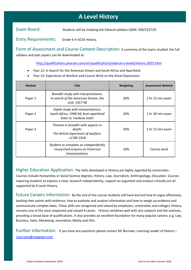# Students will be studying the Edexcel syllabus (QAN: 500/2237/4) **A Level History**

Exam Board: Students will be studying the Edexcel syllabus (QAN: 500/2237/4)

Entry Requirements: Grade 6 in GCSE History.

Form of Assessment and Course Content Description: A summary of the topics studied, the full syllabus and past papers can be downloaded at:

<http://qualifications.pearson.com/en/qualifications/edexcel-a-levels/history-2015.html>

- Year 12: In Search for the American Dream and South Africa and Apartheid.
- Year 13: Experience of Warfare and Course Work on the Great Depression.

| <b>Module</b> | <b>Title</b>                                                                                           | Weighting | <b>Assessment Method</b> |
|---------------|--------------------------------------------------------------------------------------------------------|-----------|--------------------------|
| Paper 1       | Breadth study with interpretations:<br>In search of the American Dream, the<br>USA: 1917-96            | 30%       | 2 hr 15 min exam         |
| Paper 2       | Depth study with interpretations:<br>South Africa, 1948-94; from apartheid<br>state to 'rainbow state' | 20%       | 1 hr 30 min exam         |
| Paper 3       | Themes in breadth with aspects in<br>depth:<br>The British Experience of warfare:<br>c1790-1918        | 30%       | 2 hr 15 min exam         |
|               | Student to complete an independently<br>researched enquiry on historical<br>interpretations.           | 20%       | Course work              |

Higher Education Application: The skills developed in History are highly regarded by universities.

Courses include Humanities or Social Science degrees, History, Law, Journalism, Anthropology, Education. Courses requiring students to express a view, research independently, support an argument and analyse critically are all supported by A Level History.

Future Careers Information: By the end of the course students will have learned how to argue effectively, backing their points with evidence; how to evaluate and analyse information and how to weigh up evidence and communicate complex ideas. These skills are recognised and valued by employers, universities and colleges. History remains one of the most respected and valued A Levels. History combines well with arts subjects and the sciences, providing a broad base of qualifications. It also provides an excellent foundation for many popular careers, e.g. Law, Business, Sales, Marketing, Journalism, Media and Film.

Further Information: If you have any questions please contact Mr Burrows, Learning Leader of History [j.burrows@coxgreen.com](mailto:j.burrows@coxgreen.com)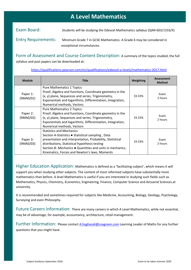# **A Level Mathematics**

| Exam Board:                | Students will be studying the Edexcel Mathematics syllabus (QAN 603/1333/X) |
|----------------------------|-----------------------------------------------------------------------------|
| <b>Entry Requirements:</b> | Minimum Grade 7 in GCSE Mathematics. A Grade 6 may be considered in         |
|                            | exceptional circumstances.                                                  |

Form of Assessment and Course Content Description: A summary of the topics studied, the full syllabus and past papers can be downloaded at:

| <b>Module</b>         | <b>Title</b>                                                                                                                                                                                                                                                                                                     | Weighting | <b>Assessment</b><br><b>Method</b> |
|-----------------------|------------------------------------------------------------------------------------------------------------------------------------------------------------------------------------------------------------------------------------------------------------------------------------------------------------------|-----------|------------------------------------|
| Paper 1:<br>(MAO/01)  | Pure Mathematics 1 Topics:<br>Proof, Algebra and functions, Coordinate geometry in the<br>(x, y) plane, Sequences and series, Trigonometry,<br>Exponentials and logarithms, Differentiation, Integration,<br>Numerical methods, Vectors                                                                          | 33.33%    | Exam<br>2 hours                    |
| Paper 2:<br>(9MA0/02) | Pure Mathematics 2 Topics:<br>Proof, Algebra and functions, Coordinate geometry in the<br>(x, y) plane, Sequences and series, Trigonometry,<br>Exponentials and logarithms, Differentiation, Integration,<br>Numerical methods, Vectors                                                                          | 33.33%    | Exam<br>2 hours                    |
| Paper 3:<br>(9MA0/03) | <b>Statistics and Mechanics</b><br>Section A-Statistics • Statistical sampling, Data<br>presentation and interpretation, Probability, Statistical<br>distributions, Statistical hypothesis testing<br>Section B- Mechanics • Quantities and units in mechanics,<br>Kinematics, Forces and Newton's laws, Moments | 33.33%    | Exam<br>2 hours                    |

<https://qualifications.pearson.com/en/qualifications/edexcel-a-levels/mathematics-2017.html>

Higher Education Application: Mathematics is defined as a 'facilitating subject', which means it will support you when studying other subjects. The content of most reformed subjects have substantially more mathematics than before. A level Mathematics is useful if you are interested in studying such fields such as Mathematics, Physics, Chemistry, Economics, Engineering, Finance, Computer Science and Actuarial Sciences.at university.

It is recommended and sometimes required for subjects like Medicine, Accounting, Biology, Geology, Psychology, Surveying and even Philosophy.

Future Careers Information: There are many careers in which A Level Mathematics, while not essential, may be of advantage, for example, accountancy, architecture, retail management.

Further Information: Please contact [A.haghazali@coxgreen.com](mailto:A.haghazali@coxgreen.com) Learning Leader of Maths for any further questions that you might have.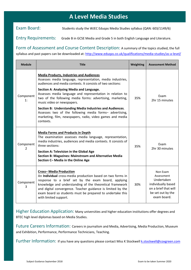# **A Level Media Studies**

Exam Board: Students study the WJEC Eduqas Media Studies syllabus (QAN: 603/1149/6)

Entry Requirements: Grade B in GCSE Media and Grade 5 in both English Language and Literature.

Form of Assessment and Course Content Description: A summary of the topics studied, the full syllabus and past papers can be downloaded at:<http://www.eduqas.co.uk/qualifications/media-studies/as-a-level/>

| <b>Module</b>   | <b>Title</b>                                                                                                                                                                                                                                                                                                                                                                                                                                                                                                                                                                     | Weighting | <b>Assessment Method</b>                                                                                               |
|-----------------|----------------------------------------------------------------------------------------------------------------------------------------------------------------------------------------------------------------------------------------------------------------------------------------------------------------------------------------------------------------------------------------------------------------------------------------------------------------------------------------------------------------------------------------------------------------------------------|-----------|------------------------------------------------------------------------------------------------------------------------|
| Component<br>1: | <b>Media Products, Industries and Audiences</b><br>Assesses media language, representation, media industries,<br>audiences and media contexts. It consists of two sections:<br>Section A: Analysing Media and Language.<br>Assesses media language and representation in relation to<br>two of the following media forms: advertising, marketing,<br>music video or newspapers.<br>Section B: Understanding Media Industries and Audiences.<br>Assesses two of the following media forms- advertising,<br>marketing, film, newspapers, radio, video games and media<br>contexts. | 35%       | Exam<br>2hr 15 minutes                                                                                                 |
| Component<br>2  | <b>Media Forms and Products in Depth</b><br>The examination assesses media language, representation,<br>media industries, audiences and media contexts. It consists of<br>three sections:<br><b>Section A: Television in the Global Age</b><br><b>Section B: Magazines: Mainstream and Alternative Media</b><br>Section C- Media in the Online Age                                                                                                                                                                                                                               | 35%       | Exam<br>2hr 30 minutes                                                                                                 |
| Component<br>3  | <b>Cross-Media Production</b><br>An Individual cross-media production based on two forms in<br>response to a brief set by the exam board, applying<br>knowledge and understanding of the theoretical framework<br>and digital convergence. Teacher guidance is limited by the<br>exam board so students must be prepared to undertake this<br>with limited support.                                                                                                                                                                                                              | 30%       | Non Exam<br>Assessment<br>Undertaken<br>individually based<br>on a brief that will<br>be set out by the<br>exam board. |

Higher Education Application: Many universities and higher education institutions offer degrees and BTEC high level diplomas based on Media Studies.

Future Careers Information: Careers in journalism and Media, Advertising, Media Production, Museum and Exhibition, Performance, Performance Technicians, Teaching.

Further Information: If you have any questions please contact Miss K Stockwell **k.stockwell@coxgreen.com**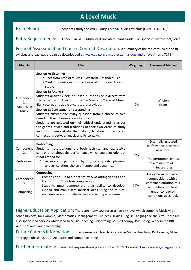# **A Level Music**

Exam Board: Students study the WJEC Eduqas Media Studies syllabus (QAN: 603/1149/6)

Entry Requirements: Grade 6 in GCSE Music or Associated Board Grade 5 on specialist instrument/voice.

Form of Assessment and Course Content Description: A summary of the topics studied, the full syllabus and past papers can be downloaded at: [www.aqa.org.uk/subjects/music/as-and-a-level/music-7272](http://www.aqa.org.uk/subjects/music/as-and-a-level/music-7272)

| <b>Module</b>                          | <b>Title</b>                                                                                                                                                                                                                                                                                                                                                                                                                                                                                                                                                                                                                                                                                                                                                                | Weighting | <b>Assessment Method</b>                                                                                                                                 |
|----------------------------------------|-----------------------------------------------------------------------------------------------------------------------------------------------------------------------------------------------------------------------------------------------------------------------------------------------------------------------------------------------------------------------------------------------------------------------------------------------------------------------------------------------------------------------------------------------------------------------------------------------------------------------------------------------------------------------------------------------------------------------------------------------------------------------------|-----------|----------------------------------------------------------------------------------------------------------------------------------------------------------|
| Component<br>1:<br>Appraising<br>Music | <b>Section A: Listening</b><br>■ 1 set from Area of study 1 - Western Classical Music.<br>■ 2 sets of questions from a choice of 5 optional Areas of<br>study.<br><b>Section B: Analysis</b><br>Students answer 2 sets of linked questions on extracts from<br>the set works in Area of Study $1 -$ Western Classical Music.<br>Blank scores and audio excerpts are provided.<br><b>Section C: Contextual Understanding</b><br>Students answer one essay question from a choice of two<br>based on their chosen areas of study.<br>Students are assessed on their critical understanding across<br>the genres, styles and traditions of their two Areas of study<br>and must demonstrate their ability to show sophisticated<br>connections between music and its contexts. | 40%       | Written<br>Exam                                                                                                                                          |
| Component<br>2:<br>Performing          | Performing<br>Students must demonstrate both technical and expressive<br>control throughout the performance which could include, but<br>is not limited to:<br>Accuracy of pitch and rhythm, tone quality, phrasing<br>$\circ$<br>and articulation, choice of tempo and dynamics.                                                                                                                                                                                                                                                                                                                                                                                                                                                                                            | 35%       | <b>Externally assessed</b><br>performance recorded<br>at school.<br>The performance must<br>be a minimum of 10<br>minutes long.                          |
| Component<br>3:<br>Composing           | <b>Composing</b><br>Composition 1 is to a brief set by AQA during year 13 and<br>Composition 2 is a free composition<br>Students must demonstrate their ability to develop,<br>extend and manipulate musical ideas using the musical<br>elements as appropriate to their chosen style or genre.                                                                                                                                                                                                                                                                                                                                                                                                                                                                             | 25%       | Two externally marked<br>compositions with a<br>combined duration of 4<br>1/ <sub>2</sub> minutes completed<br>under controlled<br>conditions at school. |

Higher Education Application: There are many courses at university level which combine Music with other subjects, for example, Mathematics, Management, Business Studies, English Language or the Arts. There are also specialised courses which lead to Music Teaching, Performing, Music Therapy, Publishing, Work in the BBC, Acoustics and Sound Recording.

Future Careers Information: Studying music can lead to a career in Media, Teaching, Performing, Music Therapy, Publishing, BBC, Acoustics and Sound Recording.

Further Information: If you have any questions please contact Mr McDonoug[h t.mcdonough@coxgreen.com](mailto:t.mcdonough@coxgreen.com)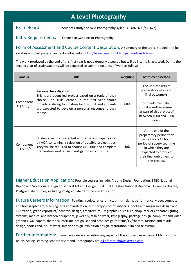# **A Level Photography**

Exam Board: Students study the AQA Photography syllabus (QAN: 600/4456/7)

Entry Requirements: Grade 6 in GCSE Art or Photography.

Form of Assessment and Course Content Description: A summary of the topics studied, the full syllabus and past papers can be downloaded at:<http://www.aqa.org.uk/subjects/art-and-design>

The work produced by the end of this first year is not externally assessed but will be internally assessed. During the second year of study students will be expected to submit two units of work as follows:

| <b>Module</b>            | <b>Title</b>                                                                                                                                                                                                                                                                | <b>Weighting</b> | <b>Assessment Method</b>                                                                                                                                                                    |
|--------------------------|-----------------------------------------------------------------------------------------------------------------------------------------------------------------------------------------------------------------------------------------------------------------------------|------------------|---------------------------------------------------------------------------------------------------------------------------------------------------------------------------------------------|
| Component<br>1: (7206/C) | <b>Personal Investigation</b><br>This is a student led project based on a topic of their<br>choice. The skills learned in the first year should<br>provide a strong foundation for this unit and students<br>are expected to develop a personal response to their<br>theme. | 60%              | The unit consists of<br>preparatory work and<br>final outcome/s.<br>Students must also<br>submit a written element<br>as part of this project of<br>between 1000 and 3000<br>words.         |
| Component<br>2: (7206/X) | Students will be presented with an exam paper as set<br>by AQA containing a selection of possible project titles.<br>They will be required to choose ONE title and complete<br>preparatory work as an investigation into this title.                                        | 40%              | At the end of the<br>preparatory period they<br>will sit for a 15 hour<br>period of supervised time<br>in which they are<br>expected to produce<br>their final outcome/s to<br>the project. |

Higher Education Application: Possible courses include: Art and Design Foundation; BTEC National Diploma in Vocational Design or General Art and Design; B.Ed.; BTEC Higher National Diploma; University Degree; Postgraduate Studies, including Postgraduate Certificate in Education.

Future Careers Information: Painting, sculpture, ceramics, print-making, performance, video, computer and holographic art, teaching, arts administration, art therapy, community arts, books and magazines design and illustration, graphic/product/industrial design, architecture, TV graphics, furniture, shop interiors, theatre lighting systems, medical and kitchen equipment, jewellery, fashion wear, typography, package design, computer and video graphics, wallpapers, theatrical costume design, set and prop design for films/TV/theatre, fashion and textile design, sports and leisure wear, interior design, exhibition design, restoration, film and television.

Further Information: If you have queries regarding any aspect of this course please contact Mrs LinfordRelph, Acting Learning Leader for Art and Photography at: [e.linfordrelph@coxgreen.com](mailto:e.linfordrelph@coxgreen.com)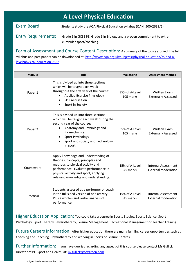# **A Level Physical Education**

Exam Board: Students study the AQA Physical Education syllabus (QAN: 500/2639/2).

#### Entry Requirements: Grade 6 in GCSE PE, Grade 6 in Biology and a proven commitment to extracurricular sport/coaching.

Form of Assessment and Course Content Description: A summary of the topics studied, the full syllabus and past papers can be downloaded at: [http://www.aqa.org.uk/subjects/physical-education/as-and-a-](http://www.aqa.org.uk/subjects/physical-education/as-and-a-level/physical-education-7582)

#### [level/physical-education-7582](http://www.aqa.org.uk/subjects/physical-education/as-and-a-level/physical-education-7582)

| <b>Module</b> | <b>Title</b>                                                                                                                                                                                                                               | Weighting                   | <b>Assessment Method</b>                                 |
|---------------|--------------------------------------------------------------------------------------------------------------------------------------------------------------------------------------------------------------------------------------------|-----------------------------|----------------------------------------------------------|
| Paper 1       | This is divided up into three sections<br>which will be taught each week<br>throughout the first year of the course:<br><b>Applied Exercise Physiology</b><br><b>Skill Acquisition</b><br>Sport in Society                                 | 35% of A-Level<br>105 marks | <b>Written Exam</b><br><b>Externally Assessed</b>        |
| Paper 2       | This is divided up into three sections<br>which will be taught each week during the<br>second year of the course:<br>Anatomy and Physiology and<br><b>Biomechanics</b><br>Sport Psychology<br>Sport and society and Technology<br>in sport | 35% of A-Level<br>105 marks | <b>Written Exam</b><br><b>Externally Assessed</b>        |
| Coursework    | Apply knowledge and understanding of<br>theories, concepts, principles and<br>methods to physical activity and<br>performance. Evaluate performance in<br>physical activity and sport, applying<br>relevant knowledge and understanding.   | 15% of A-Level<br>45 marks  | <b>Internal Assessment</b><br><b>External moderation</b> |
| Practical     | Students assessed as a performer or coach<br>in the full sided version of one activity.<br>Plus a written and verbal analysis of<br>performance.                                                                                           | 15% of A-Level<br>45 marks  | <b>Internal Assessment</b><br><b>External moderation</b> |

Higher Education Application: You could take a degree in Sports Studies, Sports Science, Sport Psychology, Sport Therapy, Physiotherapy, Leisure Management, Recreational Management or Teacher Training.

Future Careers Information: After higher education there are many fulfilling career opportunities such as Coaching and Teaching, Physiotherapy and working in Sports or Leisure Centres.

Further Information: If you have queries regarding any aspect of this course please contact Mr Gullick, Director of PE, Sport and Health, at: [m.gullick@coxgreen.com](mailto:m.gullick@coxgreen.com)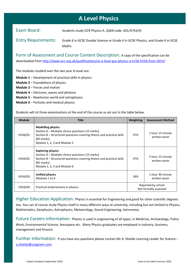# **A Level Physics**

Exam Board: Students study OCR Physics A. (QAN code: 601/4743/X)

Entry Requirements: Grade 6 in GCSE Double Science or Grade 6 in GCSE Physics, and Grade 6 in GCSE Maths.

Form of Assessment and Course Content Description: A copy of the specification can be downloaded from<http://www.ocr.org.uk/qualifications/as-a-level-gce-physics-a-h156-h556-from-2015/>

The modules studied over the two year A Level are:

- **Module 1** Development of practical skills in physics
- **Module 2** Foundations of physics
- **Module 3** Forces and motion
- **Module 4** Electrons, waves and photons
- **Module 5** Newtonian world and astrophysics
- **Module 6** Particles and medical physics

Students will sit three examinations at the end of the course as set out in the table below.

| <b>Module</b> | <b>Title</b>                                                                                                                                                                                       | Weighting | <b>Assessment Method</b>                    |
|---------------|----------------------------------------------------------------------------------------------------------------------------------------------------------------------------------------------------|-----------|---------------------------------------------|
| H556/01       | <b>Modelling physics</b><br>Section A - Multiple choice questions (15 marks)<br>Section B – Structured questions covering theory and practical skills<br>(85 marks)<br>Module 1, 2, 3 and Module 5 | 37%       | 2 hour 15 minute<br>written exam            |
| H556/02       | <b>Exploring physics</b><br>Section A – Multiple choice questions (15 marks)<br>Section B – Structured questions covering theory and practical skills<br>(85 marks)<br>Module 1, 2, 4 and Module 6 | 37%       | 2 hour 15 minute<br>written exam            |
| H556/03       | Unified physics<br>Modules 1 to 6                                                                                                                                                                  | 26%       | 1 hour 30 minute<br>written exam            |
| H556/04       | Practical endorsement in physics                                                                                                                                                                   |           | Reported by school<br>Not formally assessed |

Higher Education Application: Physics is essential for Engineering and good for other scientific degrees too. You can of course study Physics itself in many different ways at university, including but not limited to Physics, Mathematics, Geophysics, Astrophysics, Meteorology, Sound Engineering, Astronomy.

Future Careers Information: Physics is used in engineering of all types; in Medicine, Archaeology, Police Work, Environmental Science, Aerospace etc. Many Physics graduates are employed in industry, business, management and finance.

Further Information: If you have any questions please contact Mr A. Shields Learning Leader for Science – [a.shields@coxgreen.com](mailto:a.shields@coxgreen.com)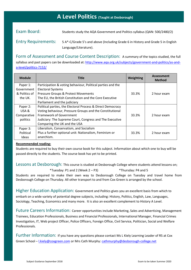### **A Level Politics (Taught at Desborough)**

Exam Board: Students study the AQA Government and Politics syllabus (QAN: 500/2480/2)

Entry Requirements: 5 A\*-C/Grade 5's and above (Including Grade 6 in History and Grade 5 in English Language/Literature).

Form of Assessment and Course Content Description: A summary of the topics studied, the full syllabus and past papers can be downloaded at: [http://www.aqa.org.uk/subjects/government-and-politics/as-and](http://www.aqa.org.uk/subjects/government-and-politics/as-and-a-level/politics-7152/)[a-level/politics-7152/](http://www.aqa.org.uk/subjects/government-and-politics/as-and-a-level/politics-7152/)

| <b>Module</b> | Title                                                       | <b>Weighting</b> | <b>Assessment</b><br><b>Method</b> |
|---------------|-------------------------------------------------------------|------------------|------------------------------------|
| Paper 1:      | Participation & voting behaviour, Political parties and the |                  |                                    |
| Government    | <b>Electoral Systems</b>                                    |                  |                                    |
| & Politics of | Pressure Groups & Protest Movements                         | 33.3%            | 2 hour exam                        |
| the UK.       | The EU, the British Constitution and the Core Executive     |                  |                                    |
|               | Parliament and the judiciary                                |                  |                                    |
| Paper 2:      | Political parties, the Electoral Process & Direct Democracy |                  |                                    |
| USA &         | Voting behaviour, Pressure Groups and the Constitutional    |                  |                                    |
| Comparative   | Framework of Government                                     | 33.3%            | 2 hour exam                        |
| politics      | Judiciary: The Supreme Court, Congress and The Executive    |                  |                                    |
|               | Comparing the UK and the USA                                |                  |                                    |
| Paper 3:      | Liberalism, Conservatism, and Socialism                     |                  |                                    |
| Political     | Plus a further optional unit: Nationalism, Feminism or      | 33.3%            | 2 hour exam                        |
| Ideas         | anarchism.                                                  |                  |                                    |

#### **Recommended reading:**

Students are required to buy their own course book for this subject. Information about which one to buy will be passed directly to the students. The course book has yet to be printed.

Lessons at Desborough: This course is studied at Desborough College where students attend lessons on;

\*Tuesday: P1 and 2 (Week 2 – P3) \*Thursday: P4 and 5

Students are required to make their own way to Desborough College on Tuesday and travel home from Desborough College on Thursday. All other transport to and from Cox Green is arranged by the school.

Higher Education Application: Government and Politics gives you an excellent basis from which to embark on a wide variety of potential degree subjects, including: History, Politics, English, Law, Languages, Sociology, Teaching, Economics and many more. It is also an excellent complement to History A Level.

Future Careers Information: Career opportunities include Marketing, Sales and Advertising, Management Trainees, Education Professionals, Business and Financial Professionals, International Manager, Financial Crimes Investigation, IT, Web project Officer, Police Officers, Foreign Office, Civil Service, Politician, Social and Welfare Professionals.

Further Information: If you have any questions please contact Ms L Kiely Learning Leader of RS at Cox Green School – [l.kiely@coxgreen.com](mailto:l.kiely@coxgreen.com) or Mrs Cath Murphy: [cathmurphy@desborough-college.net](mailto:cathmurphy@desborough-college.net)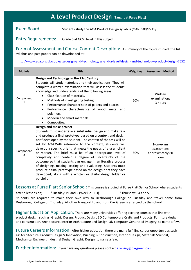# **s A Level Product Design (Taught at Furze Platt)**

Exam Board: Students study the AQA Product Design syllabus (QAN: 500/2215/5)

Entry Requirements: Grade 6 at GCSE level in this subject.

Form of Assessment and Course Content Description: A summary of the topics studied, the full syllabus and past papers can be downloaded at:

<http://www.aqa.org.uk/subjects/design-and-technology/as-and-a-level/design-and-technology-product-design-7552>

| <b>Module</b>  | <b>Title</b>                                                                                                                                                                                                                                                                                                                                                                                                                                                                                                                                                                                                                                                                                                                                           | Weighting | <b>Assessment Method</b>                             |
|----------------|--------------------------------------------------------------------------------------------------------------------------------------------------------------------------------------------------------------------------------------------------------------------------------------------------------------------------------------------------------------------------------------------------------------------------------------------------------------------------------------------------------------------------------------------------------------------------------------------------------------------------------------------------------------------------------------------------------------------------------------------------------|-----------|------------------------------------------------------|
| Component      | Design and Technology in the 21st Century<br>Students will study materials and their applications. They will<br>complete a written examination that will assess the students'<br>knowledge and understanding of the following areas:<br>Classification of materials.<br>$\bullet$<br>Methods of investigating testing<br>Performance characteristics of papers and boards<br>$\bullet$<br>Performance characteristics of wood, metal and<br>$\bullet$<br>polymers.<br>Modern and smart materials<br>Composites.                                                                                                                                                                                                                                        | 50%       | Written<br>examination:<br>3 hours                   |
| Component<br>2 | Design and make project<br>Students must undertake a substantial design and make task<br>and produce a final prototype based on a context and design<br>brief developed by the student. The context of the task will be<br>set by AQA. With reference to the context, students will<br>develop a specific brief that meets the needs of a user, client<br>or market. The brief must be of an appropriate level of<br>complexity and contain a degree of uncertainty of the<br>outcome so that students can engage in an iterative process<br>of designing, making, testing and evaluating. Students must<br>produce a final prototype based on the design brief they have<br>developed, along with a written or digital design folder or<br>portfolio. | 50%       | Non-exam<br>assessment:<br>approximately 80<br>hours |

Lessons at Furze Platt Senior School: This course is studied at Furze Platt Senior School where students

attend lessons on; \*Tuesday: P1 and 2 (Week 2 – P3) \*Thursday: P4 and 5 Students are required to make their own way to Desborough College on Tuesday and travel home from Desborough College on Thursday. All other transport to and from Cox Green is arranged by the school.

Higher Education Application: There are many universities offering exciting courses that link with product design, such as: Graphic Design, Product Design, 3D Contemporary Crafts and Products, Furniture design and construction, Architecture, Interior Architecture and Design, 3D computer Generated Imagery, to name a few.

Future Careers Information: After higher education there are many fulfilling career opportunities such as: Architecture, Product Design & Innovation, Building & Construction, Interior Design, Materials Scientist, Mechanical Engineer, Industrial Design, Graphic Design, to name a few.

Further Information: If you have any questions please contact **s**.rapsey@coxgreen.com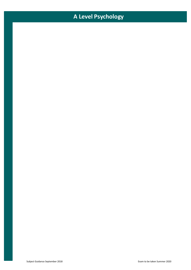# **A Level Psychology**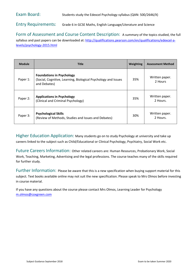Entry Requirements: Grade 6 in GCSE Maths, English Language/Literature and Science

Form of Assessment and Course Content Description: A summary of the topics studied, the full syllabus and past papers can be downloaded at: [http://qualifications.pearson.com/en/qualifications/edexcel-a](http://qualifications.pearson.com/en/qualifications/edexcel-a-levels/psychology-2015.html)[levels/psychology-2015.html](http://qualifications.pearson.com/en/qualifications/edexcel-a-levels/psychology-2015.html)

| <b>Module</b> | <b>Title</b>                                                                                                       | Weighting | <b>Assessment Method</b>   |
|---------------|--------------------------------------------------------------------------------------------------------------------|-----------|----------------------------|
| Paper 1:      | <b>Foundations in Psychology</b><br>(Social, Cognitive, Learning, Biological Psychology and Issues<br>and Debates) | 35%       | Written paper.<br>2 Hours  |
| Paper 2:      | <b>Applications in Psychology</b><br>(Clinical and Criminal Psychology)                                            | 35%       | Written paper.<br>2 Hours. |
| Paper 3:      | <b>Psychological Skills</b><br>(Review of Methods, Studies and Issues and Debates)                                 | 30%       | Written paper.<br>2 Hours. |

Higher Education Application: Many students go on to study Psychology at university and take up careers linked to the subject such as Child/Educational or Clinical Psychology, Psychiatry, Social Work etc.

Future Careers Information: Other related careers are: Human Resources, Probationary Work, Social Work, Teaching, Marketing, Advertising and the legal professions. The course teaches many of the skills required for further study.

Further Information: Please be aware that this is a new specification when buying support material for this subject. Text books available online may not suit the new specification. Please speak to Mrs Olmos before investing in course material.

If you have any questions about the course please contact Mrs Olmos, Learning Leader for Psychology [m.olmos@coxgreen.com](mailto:m.olmos@coxgreen.com)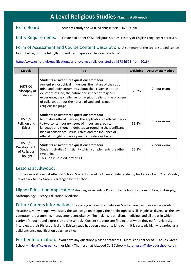# **A Level Religious Studies (Taught at Altwood)**

Exam Board: Students study the OCR Syllabus (QAN: 500/2199/0).

Entry Requirements: Grade 6 in either GCSE Religious Studies, History or English Language/Literature.

Form of Assessment and Course Content Description: A summary of the topics studied can be found below, but the full syllabus and past papers can be downloaded at:

#### <http://www.ocr.org.uk/qualifications/as-a-level-gce-religious-studies-h173-h573-from-2016/>

| <b>Module</b>                                     | <b>Title</b>                                                                                                                                                                                                                                                                                                                                                           | <b>Weighting</b> | <b>Assessment Method</b> |
|---------------------------------------------------|------------------------------------------------------------------------------------------------------------------------------------------------------------------------------------------------------------------------------------------------------------------------------------------------------------------------------------------------------------------------|------------------|--------------------------|
| H573/01<br>Philosophy of<br>Religion              | Students answer three questions from four.<br>Ancient philosophical influences, the nature of the soul,<br>mind and body, arguments about the existence or non-<br>existence of God, the nature and impact of religious<br>experience, the challenge for religious belief of the problem<br>of evil, ideas about the nature of God and issues in<br>religious language | 33.3%            | 2 hour exam              |
| H573/2<br>Religion and<br><b>Ethics</b>           | Students answer three questions from four:<br>Normative ethical theories, the application of ethical theory<br>to two contemporary issues of importance, ethical<br>language and thought, debates surrounding the significant<br>idea of conscience, sexual ethics and the influence of<br>ethical thought of developments in religious beliefs                        | 33.3%            | 2 hour exam              |
| H573/3<br>Developments<br>of Religious<br>Thought | Students answer three questions from four<br>Students studies Christianity which complements the other<br>two units.<br>This unit is studied in Year 13.                                                                                                                                                                                                               | 33.3%            | 2 hour exam              |

#### Lessons at Altwood:

This course is studied at Altwood School. Students travel to Altwood independently for Lesson 1 and 2 on Mondays. Travel back to Cox Green is arranged by the school.

Higher Education Application: Any degree including Philosophy, Politics, Economics, Law, Philosophy, Anthropology, History, Education, Medicine.

Future Careers Information: The skills you develop in Religious Studies are useful in a wide variety of situations. Many people who study the subject go on to apply their philosophical skills in jobs as diverse as the law, computer programming, management consultancy, film making, journalism, medicine, and all areas in which clarity of thought and expression are essential. Current students are finding that when they go for university interviews, their Philosophical and Ethical study has been a major talking point. It is certainly highly regarded as a valid entrance qualification by universities.

Further Information: If you have any questions please contact Ms L Kiely Lead Learner of RS at Cox Green School – [l.kiely@coxgreen.com](mailto:l.kiely@coxgreen.com) or Mrs K Thompson at Altwood CofE School – [kthompson@altwoodschool.co.uk](mailto:kthompson@altwoodschool.co.uk)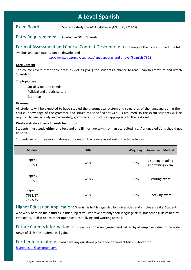# **A Level Spanish**

Exam Board: Students study the AQA syllabus (QAN: 500/2214/3)

Entry Requirements: Grade 6 in GCSE Spanish.

Form of Assessment and Course Content Description: A summary of the topics studied, the full

syllabus and past papers can be downloaded at:

[http://www.aqa.org.uk/subjects/languages/as-and-a-level/Spanish-7692](http://www.aqa.org.uk/subjects/languages/as-and-a-level/spanish-7692)

#### **Core Content**

The course covers three topic areas as well as giving the students a chance to read Spanish literature and watch Spanish film.

The topics are:

- Social issues and trends
- Political and artistic culture
- Grammar

#### **Grammar**

All students will be expected to have studied the grammatical system and structures of the language during their course. Knowledge of the grammar and structures specified for GCSE is assumed. In the exam students will be required to use, actively and accurately, grammar and structures appropriate to the tasks set.

#### **Works – study either a Spanish text or film**

Students must study **either** one text and one film **or** two texts from an accredited list. Abridged editions should not be used.

Students will sit three examinations at the end of the course as set out in the table below:

| <b>Module</b>                 | <b>Title</b> | <b>Weighting</b> | <b>Assessment Method</b>               |
|-------------------------------|--------------|------------------|----------------------------------------|
| Paper 1<br>7692/1             | Paper 1      | 50%              | Listening, reading<br>and writing exam |
| Paper 2<br>7692/2             | Paper 2      | 20%              | Writing exam                           |
| Paper 3<br>7692/3T<br>7692/3V | Paper 3      | 30%              | Speaking exam                          |

Higher Education Application: Spanish is highly regarded by universities and employers alike. Students who work hard on their studies in this subject will improve not only their language skills, but other skills valued by employers. It also opens other opportunities to living and working abroad.

Future Careers Information: This qualification is recognised and valued by all employers due to the wide range of skills the students will gain.

Further Information: If you have any questions please see or contact Miss H Stevenson –

[h.stevenson@coxgreen.com](mailto:h.stevenson@coxgreen.com)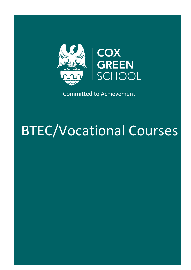

Committed to Achievement

# BTEC/Vocational Courses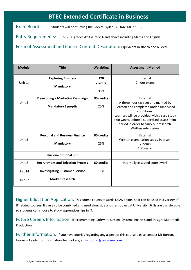# **BTEC Extended Certificate in Business**

Exam Board: Students will be studying the Edexcel syllabus (QAN: 601/7159/5)

Entry Requirements: 5 GCSE grades A\*-C/Grade 4 and above including Maths and English.

Form of Assessment and Course Content Description: Equivalent in size to one A Level.

| <b>Module</b>      | <b>Title</b>                                                    | Weighting             | <b>Assessment Method</b>                                                                                                                                 |
|--------------------|-----------------------------------------------------------------|-----------------------|----------------------------------------------------------------------------------------------------------------------------------------------------------|
| Unit 1:            | <b>Exploring Business</b><br><b>Mandatory</b>                   | 120<br>credits<br>33% | Internal<br>2 hour exam.                                                                                                                                 |
| Unit 2             | Developing a Marketing Campaign<br><b>Mandatory Synoptic</b>    | 90 credits<br>25%     | External<br>A three hour task set and marked by<br>Pearson and completed under supervised<br>conditions.                                                 |
|                    |                                                                 |                       | Learners will be provided with a case study<br>two weeks before a supervised assessment<br>period in order to carry out research.<br>Written submission. |
| Unit 3             | <b>Personal and Business Finance</b><br><b>Mandatory</b>        | 90 credits<br>25%     | External<br>Written examination set by Pearson.<br>2 hours<br>100 marks                                                                                  |
|                    | Plus one optional unit                                          |                       |                                                                                                                                                          |
| Unit 8             | <b>Recruitment and Selection Process</b>                        | 60 credits            | Internally assessed coursework                                                                                                                           |
| Unit 14<br>Unit 22 | <b>Investigating Customer Service</b><br><b>Market Research</b> | 17%                   |                                                                                                                                                          |
|                    |                                                                 |                       |                                                                                                                                                          |

Higher Education Application: This course counts towards UCAS points, so it can be used in a variety of IT related courses. It can also be combined and used alongside another subject at University. Skills are transferable so students can choose to study apprenticeships in IT.

Future Careers Information: IT Programming, Software Design, Systems Analysis and Design, Multimedia Production.

Further Information: If you have queries regarding any aspect of this course please contact Mr Burton, Learning Leader for Information Technology, at: [w.burton@coxgreen.com](mailto:w.burton@coxgreen.com)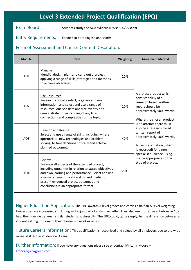# **Level 3 Extended Project Qualification (EPQ)**

Exam Board: Students study the AQA syllabus (QAN: 600/9534/9)

Entry Requirements: Grade 5 in both English and Maths.

#### Form of Assessment and Course Content Description:

| <b>Module</b>   | <b>Title</b>                                                                                                                                                                                                                                                                                          | Weighting | <b>Assessment Method</b>                                                                                                                                         |
|-----------------|-------------------------------------------------------------------------------------------------------------------------------------------------------------------------------------------------------------------------------------------------------------------------------------------------------|-----------|------------------------------------------------------------------------------------------------------------------------------------------------------------------|
| AO1             | Manage<br>Identify, design, plan, and carry out a project,<br>applying a range of skills, strategies and methods<br>to achieve objectives.                                                                                                                                                            | 20%       |                                                                                                                                                                  |
| AO <sub>2</sub> | Use Resources<br>Research, critically select, organise and use<br>information, and select and use a range of<br>resources. Analyse data apply relevantly and<br>demonstrate understanding of any links,<br>connections and complexities of the topic.                                                 | 20%       | A project product which<br>consists solely of a<br>research based written<br>report should be<br>approximately 5000 words.<br>Where the chosen product           |
| AO <sub>3</sub> | Develop and Realise<br>Select and use a range of skills, including, where<br>appropriate, new technologies and problem-<br>solving, to take decisions critically and achieve<br>planned outcomes.                                                                                                     | 40%       | is an artefact there must<br>also be a research based<br>written report of<br>approximately 1000 words.<br>A live presentation (which<br>is recorded) for a non- |
| AO <sub>4</sub> | Review<br>Evaluate all aspects of the extended project,<br>including outcomes in relation to stated objectives<br>and own learning and performance. Select and use<br>a range of communication skills and media to<br>present evidenced project outcomes and<br>conclusions in an appropriate format. | 20%       | specialist audience using<br>media appropriate to the<br>type of project.                                                                                        |

Higher Education Application: The EPQ awards A level grades and carries a half an A Level weighting. Universities are increasingly including an EPQ as part of a standard offer. They also use it often as a 'tiebreaker' to help them decide between similar students post-results. The EPQ could, quite simply, be the difference between a student getting into one of their chosen universities or not.

Future Careers Information: This qualification is recognised and valued by all employers due to the wide range of skills the students will gain.

Further Information: If you have any questions please see or contact Mr Larry Moore – [l.moore@coxgreen.com](mailto:l.moore@coxgreen.com)

Subject Guidance September 2018 Exam to be taken Summer 2020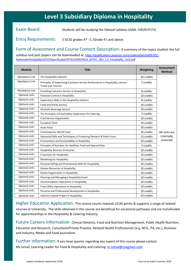# **Level 3 Subsidiary Diploma in Hospitality**

Exam Board: Students will be studying the Edexcel syllabus (QAN: 500/8197/4)

Entry Requirements: 5 GCSE grades A\* - C/Grade 4's and above.

Form of Assessment and Course Content Description: A summary of the topics studied, the full syllabus and past papers can be downloaded at: [https://qualifications.pearson.com/content/dam/pdf/BTEC-](https://qualifications.pearson.com/content/dam/pdf/BTEC-Nationals/Hospitality/2010/Specification/9781446934616_BTEC_90c_L3_Hospitality_Iss3.pdf)[Nationals/Hospitality/2010/Specification/9781446934616\\_BTEC\\_90c\\_L3\\_Hospitality\\_Iss3.pdf](https://qualifications.pearson.com/content/dam/pdf/BTEC-Nationals/Hospitality/2010/Specification/9781446934616_BTEC_90c_L3_Hospitality_Iss3.pdf)

| <b>Module</b>  | <b>Title</b>                                                                                                 | Weighting  | <b>Assessment</b><br><b>Method</b> |
|----------------|--------------------------------------------------------------------------------------------------------------|------------|------------------------------------|
| Mandatory Unit | The Hospitality Industry                                                                                     | 10 credits |                                    |
| Mandatory Unit | Principles of Supervising Customer Service Performance in Hospitality, Leisure,<br><b>Travel and Tourism</b> | 2 credits  |                                    |
| Mandatory Unit | Providing Customer Service in Hospitality                                                                    | 8 credits  |                                    |
| Optional units | <b>Financial Control in Hospitality</b>                                                                      | 10 credits |                                    |
| Optional units | Supervisory Skills in the Hospitality Industry                                                               | 8 credits  |                                    |
| Optional units | <b>Food and Drinks Service</b>                                                                               | 10 credits |                                    |
| Optional units | Alcoholic Beverage Service                                                                                   | 10 credits |                                    |
| Optional units | The Principles of Food Safety Supervision for Catering                                                       | 3 credits  |                                    |
| Optional units | Food Service Organisation                                                                                    | 10 credits |                                    |
| Optional units | European Food                                                                                                | 10 credits |                                    |
| Optional units | Asian Food                                                                                                   | 10 credits |                                    |
| Optional units | Contemporary World Food                                                                                      | 10 credits | All units are                      |
| Optional units | Advanced Skills and Techniques In Producing Desserts & Petits Fours                                          | 13 credits | internally                         |
| Optional units | Environment and Sustainability in Hospitality                                                                | 10 credits | assessed                           |
| Optional units | Principles of Nutrition for Healthier Food and Special Diets                                                 | 3 credits  |                                    |
| Optional units | <b>Hospitality Business Enterprise</b>                                                                       | 10 credits |                                    |
| Optional units | E-business for Hospitality                                                                                   | 10 credits |                                    |
| Optional units | Marketing for Hospitality                                                                                    | 10 credits |                                    |
| Optional units | Personal Selling and Promotional Skills for Hospitality                                                      | 10 credits |                                    |
| Optional units | Human Resources in Hospitality                                                                               | 10 credits |                                    |
| Optional units | Events Organisation in Hospitality                                                                           | 10 credits |                                    |
| Optional units | Planning and Managing a Hospitality Event                                                                    | 10 credits |                                    |
| Optional units | <b>Accommodation Operations in Hospitality</b>                                                               | 10 credits |                                    |
| Optional units | Front Office Operations in Hospitality                                                                       | 10 credits |                                    |
| Optional units | Personal and Professional Development in Hospitality                                                         | 10 credits |                                    |
| Optional units | Industry-related Project in Hospitality                                                                      | 10 credits |                                    |

Higher Education Application: This course counts towards UCAS points & supports a range of related courses at University. The skills obtained in this course are beneficial for vocational pathways and are transferable for apprenticeships in the Hospitality & Catering Industry.

Future Careers Information: Clinical Dietetics, Food and Nutrition Management, Public Health Nutrition, Education and Research, Consultant/Private Practice, Related Health Professionals (e.g. M.D., PA, etc.), Business and Industry, Media and Food Journalism.

Further information: If you have queries regarding any aspect of this course please contact Ms Ismail, Learning Leader for Food & Hospitality and Catering: [m.ismail@coxgreen.com](mailto:m.ismail@coxgreen.com)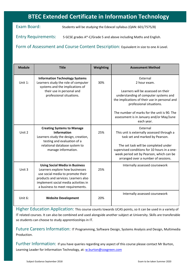# **BTEC Extended Certificate in Information Technology**

Exam Board: Students will be studying the Edexcel syllabus (QAN: 601/7575/8)

Entry Requirements: 5 GCSE grades A\*-C/Grade 5 and above including Maths and English.

Form of Assessment and Course Content Description: Equivalent in size to one A Level.

| <b>Module</b> | <b>Title</b>                                                                                                                                                                                                                      | Weighting | <b>Assessment Method</b>                                                                                                                                                                                                                                                                      |
|---------------|-----------------------------------------------------------------------------------------------------------------------------------------------------------------------------------------------------------------------------------|-----------|-----------------------------------------------------------------------------------------------------------------------------------------------------------------------------------------------------------------------------------------------------------------------------------------------|
| Unit 1:       | <b>Information Technology Systems</b><br>Learners study the role of computer<br>systems and the implications of<br>their use in personal and<br>professional situations.                                                          | 30%       | External<br>2 hour exam.<br>Learners will be assessed on their<br>understanding of computer systems and<br>the implications of their use in personal and<br>professional situations.<br>The number of marks for the unit is 90. The<br>assessment is in January and/or May/June<br>each year. |
| Unit 2        | <b>Creating Systems to Manage</b><br><b>Information</b><br>Learners study the design, creation,<br>testing and evaluation of a<br>relational database system to<br>manage information.                                            | 25%       | External<br>This unit is externally assessed through a<br>task set and marked by Pearson.<br>The set task will be completed under<br>supervised conditions for 10 hours in a one-<br>week period set by Pearson, which can be<br>arranged over a number of sessions.                          |
| Unit 3        | <b>Using Social Media in Business</b><br>Learners explore how businesses<br>use social media to promote their<br>products and services. Learners also<br>implement social media activities in<br>a business to meet requirements. | 25%       | Internally assessed coursework                                                                                                                                                                                                                                                                |
| Unit 6:       | <b>Website Development</b>                                                                                                                                                                                                        | 20%       | Internally assessed coursework                                                                                                                                                                                                                                                                |

Higher Education Application: This course counts towards UCAS points, so it can be used in a variety of IT related courses. It can also be combined and used alongside another subject at University. Skills are transferable so students can choose to study apprenticeships in IT.

Future Careers Information: IT Programming, Software Design, Systems Analysis and Design, Multimedia **Production** 

Further Information: If you have queries regarding any aspect of this course please contact Mr Burton, Learning Leader for Information Technology, at: [w.burton@coxgreen.com](mailto:w.burton@coxgreen.com)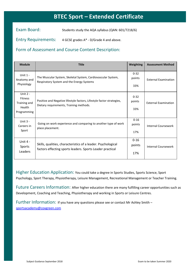# **BTEC Sport – Extended Certificate**

Exam Board: Students study the AQA syllabus (QAN: 601/7218/6)

Entry Requirements: 4 GCSE grades A\* - D/Grade 4 and above.

#### Form of Assessment and Course Content Description:

| <b>Module</b>                                                         | <b>Title</b>                                                                                                               | Weighting                 | <b>Assessment Method</b>    |
|-----------------------------------------------------------------------|----------------------------------------------------------------------------------------------------------------------------|---------------------------|-----------------------------|
| Unit $1 -$<br>Anatomy and<br>Physiology                               | The Muscular System, Skeletal System, Cardiovascular System,<br>Respiratory System and the Energy Systems                  | $0 - 32$<br>points<br>33% | <b>External Examination</b> |
| Unit $2 -$<br><b>Fitness</b><br>Training and<br>Health<br>Programming | Positive and Negative lifestyle factors, Lifestyle factor strategies,<br>Dietary requirements, Training methods.           | $0 - 32$<br>points<br>33% | <b>External Examination</b> |
| Unit $3 -$<br>Careers in<br>Sport                                     | Going on work experience and comparing to another type of work<br>place placement.                                         | $0 - 16$<br>points<br>17% | <b>Internal Coursework</b>  |
| Unit 4 -<br>Sports<br>Leaders                                         | Skills, qualities, characteristics of a leader. Psychological<br>factors effecting sports leaders. Sports Leader practical | $0 - 16$<br>points<br>17% | <b>Internal Coursework</b>  |

Higher Education Application: You could take a degree in Sports Studies, Sports Science, Sport Psychology, Sport Therapy, Physiotherapy, Leisure Management, Recreational Management or Teacher Training.

Future Careers Information: After higher education there are many fulfilling career opportunities such as Development, Coaching and Teaching, Physiotherapy and working in Sports or Leisure Centres.

Further Information: If you have any questions please see or contact Mr Ashley Smith – [sportsacademy@coxgreen.com](mailto:sportsacademy@coxgreen.com)